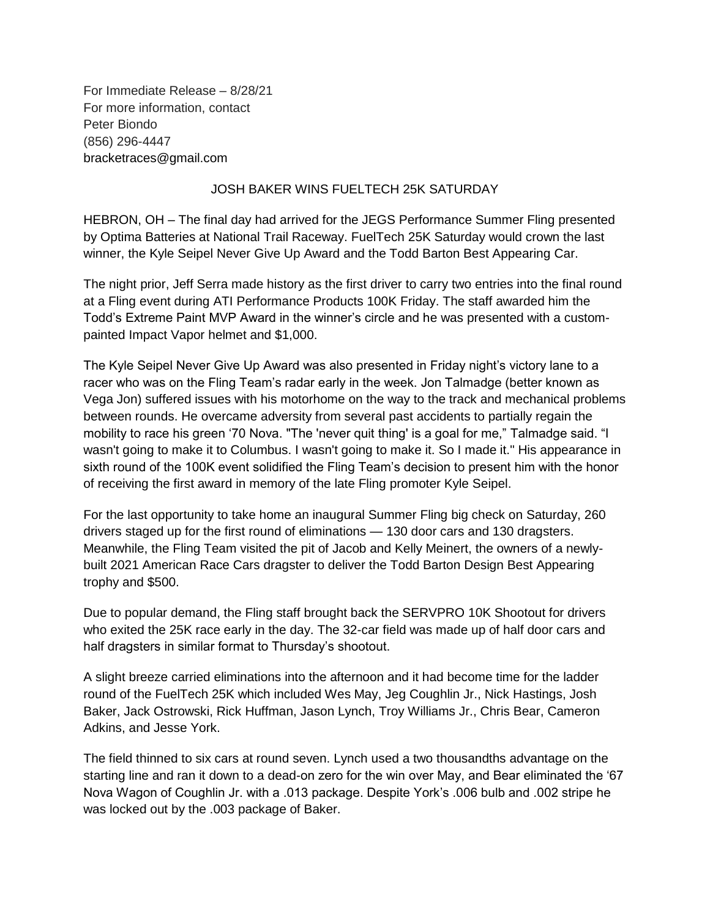For Immediate Release – 8/28/21 For more information, contact Peter Biondo (856) 296-4447 bracketraces@gmail.com

## JOSH BAKER WINS FUELTECH 25K SATURDAY

HEBRON, OH – The final day had arrived for the JEGS Performance Summer Fling presented by Optima Batteries at National Trail Raceway. FuelTech 25K Saturday would crown the last winner, the Kyle Seipel Never Give Up Award and the Todd Barton Best Appearing Car.

The night prior, Jeff Serra made history as the first driver to carry two entries into the final round at a Fling event during ATI Performance Products 100K Friday. The staff awarded him the Todd's Extreme Paint MVP Award in the winner's circle and he was presented with a custompainted Impact Vapor helmet and \$1,000.

The Kyle Seipel Never Give Up Award was also presented in Friday night's victory lane to a racer who was on the Fling Team's radar early in the week. Jon Talmadge (better known as Vega Jon) suffered issues with his motorhome on the way to the track and mechanical problems between rounds. He overcame adversity from several past accidents to partially regain the mobility to race his green '70 Nova. "The 'never quit thing' is a goal for me," Talmadge said. "I wasn't going to make it to Columbus. I wasn't going to make it. So I made it." His appearance in sixth round of the 100K event solidified the Fling Team's decision to present him with the honor of receiving the first award in memory of the late Fling promoter Kyle Seipel.

For the last opportunity to take home an inaugural Summer Fling big check on Saturday, 260 drivers staged up for the first round of eliminations — 130 door cars and 130 dragsters. Meanwhile, the Fling Team visited the pit of Jacob and Kelly Meinert, the owners of a newlybuilt 2021 American Race Cars dragster to deliver the Todd Barton Design Best Appearing trophy and \$500.

Due to popular demand, the Fling staff brought back the SERVPRO 10K Shootout for drivers who exited the 25K race early in the day. The 32-car field was made up of half door cars and half dragsters in similar format to Thursday's shootout.

A slight breeze carried eliminations into the afternoon and it had become time for the ladder round of the FuelTech 25K which included Wes May, Jeg Coughlin Jr., Nick Hastings, Josh Baker, Jack Ostrowski, Rick Huffman, Jason Lynch, Troy Williams Jr., Chris Bear, Cameron Adkins, and Jesse York.

The field thinned to six cars at round seven. Lynch used a two thousandths advantage on the starting line and ran it down to a dead-on zero for the win over May, and Bear eliminated the '67 Nova Wagon of Coughlin Jr. with a .013 package. Despite York's .006 bulb and .002 stripe he was locked out by the .003 package of Baker.